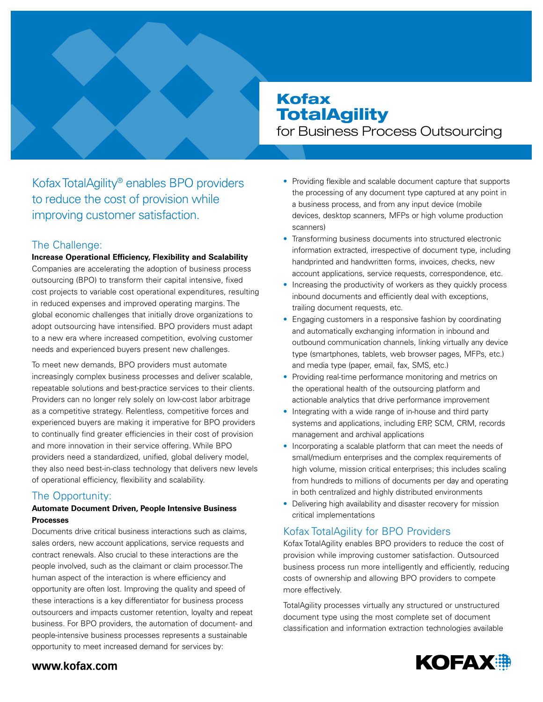# Kofax **TotalAgility**

for Business Process Outsourcing

Kofax TotalAgility® enables BPO providers to reduce the cost of provision while improving customer satisfaction.

# The Challenge:

## **Increase Operational Efficiency, Flexibility and Scalability**

Companies are accelerating the adoption of business process outsourcing (BPO) to transform their capital intensive, fixed cost projects to variable cost operational expenditures, resulting in reduced expenses and improved operating margins. The global economic challenges that initially drove organizations to adopt outsourcing have intensified. BPO providers must adapt to a new era where increased competition, evolving customer needs and experienced buyers present new challenges.

To meet new demands, BPO providers must automate increasingly complex business processes and deliver scalable, repeatable solutions and best-practice services to their clients. Providers can no longer rely solely on low-cost labor arbitrage as a competitive strategy. Relentless, competitive forces and experienced buyers are making it imperative for BPO providers to continually find greater efficiencies in their cost of provision and more innovation in their service offering. While BPO providers need a standardized, unified, global delivery model, they also need best-in-class technology that delivers new levels of operational efficiency, flexibility and scalability.

# The Opportunity:

## **Automate Document Driven, People Intensive Business Processes**

Documents drive critical business interactions such as claims, sales orders, new account applications, service requests and contract renewals. Also crucial to these interactions are the people involved, such as the claimant or claim processor.The human aspect of the interaction is where efficiency and opportunity are often lost. Improving the quality and speed of these interactions is a key differentiator for business process outsourcers and impacts customer retention, loyalty and repeat business. For BPO providers, the automation of document- and people-intensive business processes represents a sustainable opportunity to meet increased demand for services by:

- Providing flexible and scalable document capture that supports the processing of any document type captured at any point in a business process, and from any input device (mobile devices, desktop scanners, MFPs or high volume production scanners)
- Transforming business documents into structured electronic information extracted, irrespective of document type, including handprinted and handwritten forms, invoices, checks, new account applications, service requests, correspondence, etc.
- Increasing the productivity of workers as they quickly process inbound documents and efficiently deal with exceptions, trailing document requests, etc.
- Engaging customers in a responsive fashion by coordinating and automatically exchanging information in inbound and outbound communication channels, linking virtually any device type (smartphones, tablets, web browser pages, MFPs, etc.) and media type (paper, email, fax, SMS, etc.)
- Providing real-time performance monitoring and metrics on the operational health of the outsourcing platform and actionable analytics that drive performance improvement
- Integrating with a wide range of in-house and third party systems and applications, including ERP, SCM, CRM, records management and archival applications
- Incorporating a scalable platform that can meet the needs of small/medium enterprises and the complex requirements of high volume, mission critical enterprises; this includes scaling from hundreds to millions of documents per day and operating in both centralized and highly distributed environments
- Delivering high availability and disaster recovery for mission critical implementations

# Kofax TotalAgility for BPO Providers

Kofax TotalAgility enables BPO providers to reduce the cost of provision while improving customer satisfaction. Outsourced business process run more intelligently and efficiently, reducing costs of ownership and allowing BPO providers to compete more effectively.

TotalAgility processes virtually any structured or unstructured document type using the most complete set of document classification and information extraction technologies available



## www.kofax.com